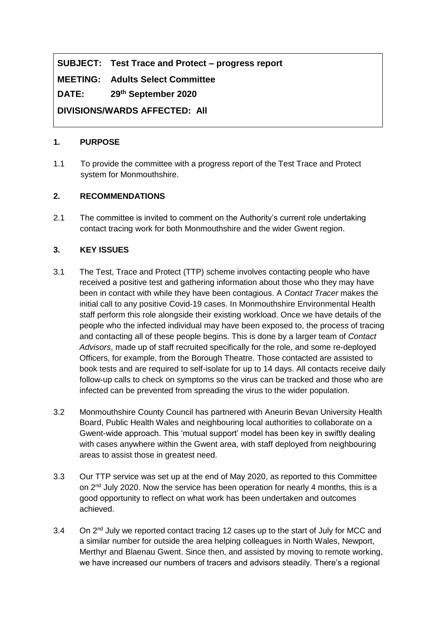# **SUBJECT: Test Trace and Protect – progress report**

**MEETING: Adults Select Committee**

**DATE: 29th September 2020**

**DIVISIONS/WARDS AFFECTED: All**

#### **1. PURPOSE**

1.1 To provide the committee with a progress report of the Test Trace and Protect system for Monmouthshire.

### **2. RECOMMENDATIONS**

2.1 The committee is invited to comment on the Authority's current role undertaking contact tracing work for both Monmouthshire and the wider Gwent region.

#### **3. KEY ISSUES**

- 3.1 The Test, Trace and Protect (TTP) scheme involves contacting people who have received a positive test and gathering information about those who they may have been in contact with while they have been contagious. A *Contact Tracer* makes the initial call to any positive Covid-19 cases. In Monmouthshire Environmental Health staff perform this role alongside their existing workload. Once we have details of the people who the infected individual may have been exposed to, the process of tracing and contacting all of these people begins. This is done by a larger team of *Contact Advisors*, made up of staff recruited specifically for the role, and some re-deployed Officers, for example, from the Borough Theatre. Those contacted are assisted to book tests and are required to self-isolate for up to 14 days. All contacts receive daily follow-up calls to check on symptoms so the virus can be tracked and those who are infected can be prevented from spreading the virus to the wider population.
- 3.2 Monmouthshire County Council has partnered with Aneurin Bevan University Health Board, Public Health Wales and neighbouring local authorities to collaborate on a Gwent-wide approach. This 'mutual support' model has been key in swiftly dealing with cases anywhere within the Gwent area, with staff deployed from neighbouring areas to assist those in greatest need.
- 3.3 Our TTP service was set up at the end of May 2020, as reported to this Committee on 2<sup>nd</sup> July 2020. Now the service has been operation for nearly 4 months, this is a good opportunity to reflect on what work has been undertaken and outcomes achieved.
- 3.4 On 2<sup>nd</sup> July we reported contact tracing 12 cases up to the start of July for MCC and a similar number for outside the area helping colleagues in North Wales, Newport, Merthyr and Blaenau Gwent. Since then, and assisted by moving to remote working, we have increased our numbers of tracers and advisors steadily. There's a regional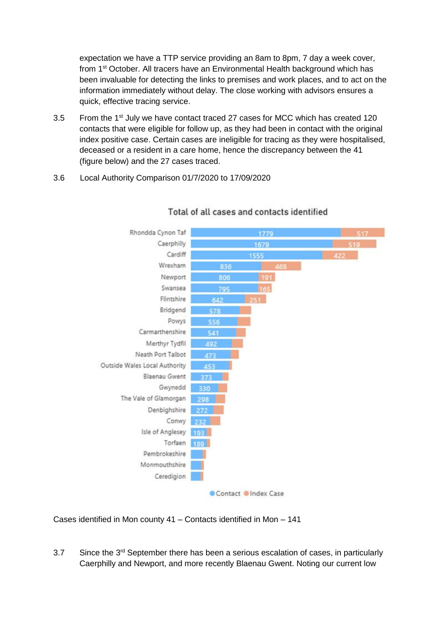expectation we have a TTP service providing an 8am to 8pm, 7 day a week cover, from 1<sup>st</sup> October. All tracers have an Environmental Health background which has been invaluable for detecting the links to premises and work places, and to act on the information immediately without delay. The close working with advisors ensures a quick, effective tracing service.

- 3.5 From the 1<sup>st</sup> July we have contact traced 27 cases for MCC which has created 120 contacts that were eligible for follow up, as they had been in contact with the original index positive case. Certain cases are ineligible for tracing as they were hospitalised, deceased or a resident in a care home, hence the discrepancy between the 41 (figure below) and the 27 cases traced.
- 3.6 Local Authority Comparison 01/7/2020 to 17/09/2020



### Total of all cases and contacts identified

Cases identified in Mon county 41 – Contacts identified in Mon – 141

3.7 Since the 3<sup>rd</sup> September there has been a serious escalation of cases, in particularly Caerphilly and Newport, and more recently Blaenau Gwent. Noting our current low